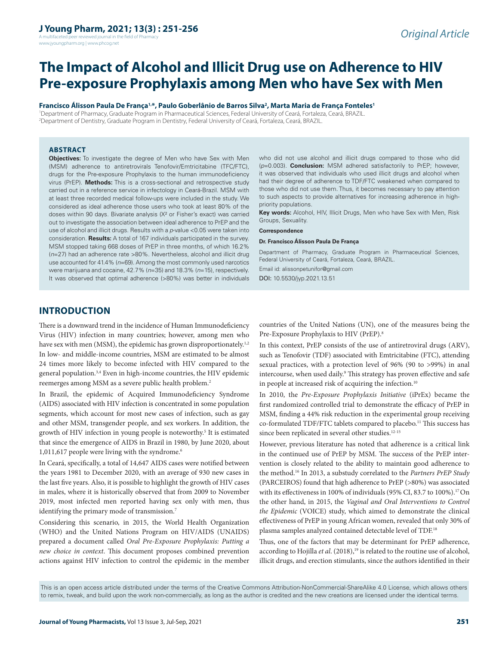A multifaceted peer reviewed journal in the field of Pharmacy www.jyoungpharm.org | www.phcog.net

# **The Impact of Alcohol and Illicit Drug use on Adherence to HIV Pre-exposure Prophylaxis among Men who have Sex with Men**

#### **Francisco Álisson Paula De França1,\*, Paulo Goberlânio de Barros Silva2 , Marta Maria de França Fonteles1**

1 Department of Pharmacy, Graduate Program in Pharmaceutical Sciences, Federal University of Ceará, Fortaleza, Ceará, BRAZIL. 2 Department of Dentistry, Graduate Program in Dentistry, Federal University of Ceará, Fortaleza, Ceará, BRAZIL.

#### **ABSTRACT**

**Objectives:** To investigate the degree of Men who have Sex with Men (MSM) adherence to antiretrovirals Tenofovir/Emtricitabine (TFC/FTC), drugs for the Pre-exposure Prophylaxis to the human immunodeficiency virus (PrEP). **Methods:** This is a cross-sectional and retrospective study carried out in a reference service in infectology in Ceará-Brazil. MSM with at least three recorded medical follow-ups were included in the study. We considered as ideal adherence those users who took at least 80% of the doses within 90 days. Bivariate analysis (X² or Fisher's exact) was carried out to investigate the association between ideal adherence to PrEP and the use of alcohol and illicit drugs. Results with a *p*-value <0.05 were taken into consideration. **Results:** A total of 167 individuals participated in the survey. MSM stopped taking 668 doses of PrEP in three months, of which 16.2% (*n*=27) had an adherence rate >80%. Nevertheless, alcohol and illicit drug use accounted for 41.4% (*n*=69). Among the most commonly used narcotics were marijuana and cocaine, 42.7% (*n*=35) and 18.3% (*n*=15), respectively. It was observed that optimal adherence (>80%) was better in individuals

who did not use alcohol and illicit drugs compared to those who did (*p*=0.003). **Conclusion:** MSM adhered satisfactorily to PrEP; however, it was observed that individuals who used illicit drugs and alcohol when had their degree of adherence to TDF/FTC weakened when compared to those who did not use them. Thus, it becomes necessary to pay attention to such aspects to provide alternatives for increasing adherence in highpriority populations.

**Key words:** Alcohol, HIV, Illicit Drugs, Men who have Sex with Men, Risk Groups, Sexuality.

#### **Correspondence**

#### **Dr. Francisco Álisson Paula De França**

Department of Pharmacy, Graduate Program in Pharmaceutical Sciences, Federal University of Ceará, Fortaleza, Ceará, BRAZIL.

Email id: alissonpetunifor@gmail.com DOI: 10.5530/jyp.2021.13.51

# **INTRODUCTION**

There is a downward trend in the incidence of Human Immunodeficiency Virus (HIV) infection in many countries; however, among men who have sex with men (MSM), the epidemic has grown disproportionately.<sup>1,2</sup> In low- and middle-income countries, MSM are estimated to be almost 24 times more likely to become infected with HIV compared to the general population.3,4 Even in high-income countries, the HIV epidemic reemerges among MSM as a severe public health problem.2

In Brazil, the epidemic of Acquired Immunodeficiency Syndrome (AIDS) associated with HIV infection is concentrated in some population segments, which account for most new cases of infection, such as gay and other MSM, transgender people, and sex workers. In addition, the growth of HIV infection in young people is noteworthy.<sup>5</sup> It is estimated that since the emergence of AIDS in Brazil in 1980, by June 2020, about 1,011,617 people were living with the syndrome.<sup>6</sup>

In Ceará, specifically, a total of 14,647 AIDS cases were notified between the years 1981 to December 2020, with an average of 930 new cases in the last five years. Also, it is possible to highlight the growth of HIV cases in males, where it is historically observed that from 2009 to November 2019, most infected men reported having sex only with men, thus identifying the primary mode of transmission.<sup>7</sup>

Considering this scenario, in 2015, the World Health Organization (WHO) and the United Nations Program on HIV/AIDS (UNAIDS) prepared a document called *Oral Pre-Exposure Prophylaxis: Putting a new choice in context*. This document proposes combined prevention actions against HIV infection to control the epidemic in the member

countries of the United Nations (UN), one of the measures being the Pre-Exposure Prophylaxis to HIV (PrEP).8

In this context, PrEP consists of the use of antiretroviral drugs (ARV), such as Tenofovir (TDF) associated with Emtricitabine (FTC), attending sexual practices, with a protection level of 96% (90 to >99%) in anal intercourse, when used daily.<sup>9</sup> This strategy has proven effective and safe in people at increased risk of acquiring the infection.<sup>10</sup>

In 2010, the *Pre-Exposure Prophylaxis Initiative* (iPrEx) became the first randomized controlled trial to demonstrate the efficacy of PrEP in MSM, finding a 44% risk reduction in the experimental group receiving co-formulated TDF/FTC tablets compared to placebo.11 This success has since been replicated in several other studies.<sup>12-15</sup>

However, previous literature has noted that adherence is a critical link in the continued use of PrEP by MSM. The success of the PrEP intervention is closely related to the ability to maintain good adherence to the method.16 In 2013, a substudy correlated to the *Partners PrEP Study* (PARCEIROS) found that high adherence to PrEP (>80%) was associated with its effectiveness in 100% of individuals (95% CI, 83.7 to 100%).<sup>17</sup> On the other hand, in 2015, the *Vaginal and Oral Interventions to Control the Epidemic* (VOICE) study, which aimed to demonstrate the clinical effectiveness of PrEP in young African women, revealed that only 30% of plasma samples analyzed contained detectable level of TDF.18

Thus, one of the factors that may be determinant for PrEP adherence, according to Hojilla et al. (2018),<sup>19</sup> is related to the routine use of alcohol, illicit drugs, and erection stimulants, since the authors identified in their

This is an open access article distributed under the terms of the Creative Commons Attribution-NonCommercial-ShareAlike 4.0 License, which allows others to remix, tweak, and build upon the work non-commercially, as long as the author is credited and the new creations are licensed under the identical terms.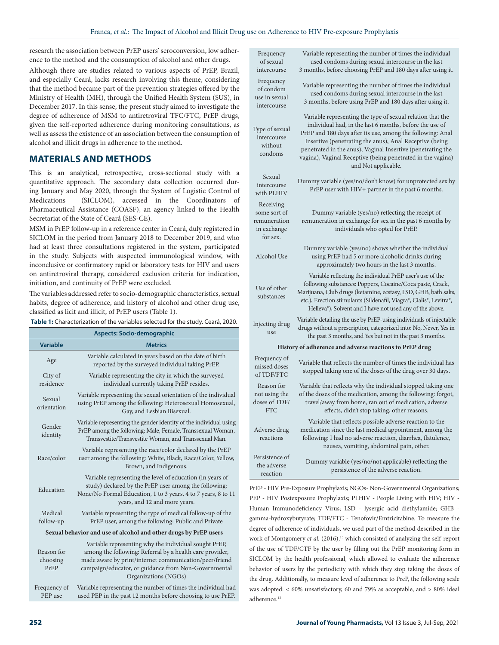research the association between PrEP users' seroconversion, low adherence to the method and the consumption of alcohol and other drugs.

Although there are studies related to various aspects of PrEP, Brazil, and especially Ceará, lacks research involving this theme, considering that the method became part of the prevention strategies offered by the Ministry of Health (MH), through the Unified Health System (SUS), in December 2017. In this sense, the present study aimed to investigate the degree of adherence of MSM to antiretroviral TFC/FTC, PrEP drugs, given the self-reported adherence during monitoring consultations, as well as assess the existence of an association between the consumption of alcohol and illicit drugs in adherence to the method.

# **MATERIALS AND METHODS**

This is an analytical, retrospective, cross-sectional study with a quantitative approach. The secondary data collection occurred during January and May 2020, through the System of Logistic Control of Medications (SICLOM), accessed in the Coordinators of Pharmaceutical Assistance (COASF), an agency linked to the Health Secretariat of the State of Ceará (SES-CE).

MSM in PrEP follow-up in a reference center in Ceará, duly registered in SICLOM in the period from January 2018 to December 2019, and who had at least three consultations registered in the system, participated in the study. Subjects with suspected immunological window, with inconclusive or confirmatory rapid or laboratory tests for HIV and users on antiretroviral therapy, considered exclusion criteria for indication, initiation, and continuity of PrEP were excluded.

The variables addressed refer to socio-demographic characteristics, sexual habits, degree of adherence, and history of alcohol and other drug use, classified as licit and illicit, of PrEP users (Table 1).

|  | Table 1: Characterization of the variables selected for the study. Ceará, 2020. |  |
|--|---------------------------------------------------------------------------------|--|
|--|---------------------------------------------------------------------------------|--|

| <b>Aspects: Socio-demographic</b>                                |                                                                                                                                                                                                                                                             |  |  |
|------------------------------------------------------------------|-------------------------------------------------------------------------------------------------------------------------------------------------------------------------------------------------------------------------------------------------------------|--|--|
| <b>Variable</b>                                                  | <b>Metrics</b>                                                                                                                                                                                                                                              |  |  |
| Age                                                              | Variable calculated in years based on the date of birth<br>reported by the surveyed individual taking PrEP.                                                                                                                                                 |  |  |
| City of<br>residence                                             | Variable representing the city in which the surveyed<br>individual currently taking PrEP resides.                                                                                                                                                           |  |  |
| Sexual<br>orientation                                            | Variable representing the sexual orientation of the individual<br>using PrEP among the following: Heterosexual Homosexual,<br>Gay, and Lesbian Bisexual.                                                                                                    |  |  |
| Gender<br>identity                                               | Variable representing the gender identity of the individual using<br>PrEP among the following: Male, Female, Transsexual Woman,<br>Transvestite/Transvestite Woman, and Transsexual Man.                                                                    |  |  |
| Race/color                                                       | Variable representing the race/color declared by the PrEP<br>user among the following: White, Black, Race/Color, Yellow,<br>Brown, and Indigenous.                                                                                                          |  |  |
| Education                                                        | Variable representing the level of education (in years of<br>study) declared by the PrEP user among the following:<br>None/No Formal Education, 1 to 3 years, 4 to 7 years, 8 to 11<br>years, and 12 and more years.                                        |  |  |
| Medical<br>follow-up                                             | Variable representing the type of medical follow-up of the<br>PrEP user, among the following: Public and Private                                                                                                                                            |  |  |
| Sexual behavior and use of alcohol and other drugs by PrEP users |                                                                                                                                                                                                                                                             |  |  |
| Reason for<br>choosing<br>PrEP                                   | Variable representing why the individual sought PrEP,<br>among the following: Referral by a health care provider,<br>made aware by print/internet communication/peer/friend<br>campaign/educator, or guidance from Non-Governmental<br>Organizations (NGOs) |  |  |

Frequency of PEP use Variable representing the number of times the individual had used PEP in the past 12 months before choosing to use PrEP.

| Frequency<br>of sexual<br>intercourse                                | Variable representing the number of times the individual<br>used condoms during sexual intercourse in the last<br>3 months, before choosing PrEP and 180 days after using it.                                                                                                                                                                                                                       |  |  |
|----------------------------------------------------------------------|-----------------------------------------------------------------------------------------------------------------------------------------------------------------------------------------------------------------------------------------------------------------------------------------------------------------------------------------------------------------------------------------------------|--|--|
| Frequency<br>of condom<br>use in sexual<br>intercourse               | Variable representing the number of times the individual<br>used condoms during sexual intercourse in the last<br>3 months, before using PrEP and 180 days after using it.                                                                                                                                                                                                                          |  |  |
| Type of sexual<br>intercourse<br>without<br>condoms                  | Variable representing the type of sexual relation that the<br>individual had, in the last 6 months, before the use of<br>PrEP and 180 days after its use, among the following: Anal<br>Insertive (penetrating the anus), Anal Receptive (being<br>penetrated in the anus), Vaginal Insertive (penetrating the<br>vagina), Vaginal Receptive (being penetrated in the vagina)<br>and Not applicable. |  |  |
| Sexual<br>intercourse<br>with PLHIV                                  | Dummy variable (yes/no/don't know) for unprotected sex by<br>PrEP user with HIV+ partner in the past 6 months.                                                                                                                                                                                                                                                                                      |  |  |
| Receiving<br>some sort of<br>remuneration<br>in exchange<br>for sex. | Dummy variable (yes/no) reflecting the receipt of<br>remuneration in exchange for sex in the past 6 months by<br>individuals who opted for PrEP.                                                                                                                                                                                                                                                    |  |  |
| Alcohol Use                                                          | Dummy variable (yes/no) shows whether the individual<br>using PrEP had 5 or more alcoholic drinks during<br>approximately two hours in the last 3 months.                                                                                                                                                                                                                                           |  |  |
| Use of other<br>substances                                           | Variable reflecting the individual PrEP user's use of the<br>following substances: Poppers, Cocaine/Coca paste, Crack,<br>Marijuana, Club drugs (ketamine, ecstasy, LSD, GHB, bath salts,<br>etc.), Erection stimulants (Sildenafil, Viagra®, Cialis®, Levitra®,<br>Helleva®), Solvent and I have not used any of the above.                                                                        |  |  |
| Injecting drug<br>use                                                | Variable detailing the use by PrEP-using individuals of injectable<br>drugs without a prescription, categorized into: No, Never, Yes in<br>the past 3 months, and Yes but not in the past 3 months.                                                                                                                                                                                                 |  |  |
|                                                                      | History of adherence and adverse reactions to PrEP drug                                                                                                                                                                                                                                                                                                                                             |  |  |
| Frequency of<br>missed doses<br>of TDF/FTC                           | Variable that reflects the number of times the individual has<br>stopped taking one of the doses of the drug over 30 days.                                                                                                                                                                                                                                                                          |  |  |
| Reason for<br>not using the<br>doses of TDF/<br><b>FTC</b>           | Variable that reflects why the individual stopped taking one<br>of the doses of the medication, among the following: forgot,<br>travel/away from home, ran out of medication, adverse<br>effects, didn't stop taking, other reasons.                                                                                                                                                                |  |  |
| Adverse drug<br>reactions                                            | Variable that reflects possible adverse reaction to the<br>medication since the last medical appointment, among the<br>following: I had no adverse reaction, diarrhea, flatulence,<br>nausea, vomiting, abdominal pain, other.                                                                                                                                                                      |  |  |
| Persistence of<br>the adverse<br>reaction                            | Dummy variable (yes/no/not applicable) reflecting the<br>persistence of the adverse reaction.                                                                                                                                                                                                                                                                                                       |  |  |

PrEP - HIV Pre-Exposure Prophylaxis; NGOs- Non-Governmental Organizations; PEP - HIV Postexposure Prophylaxis; PLHIV - People Living with HIV; HIV - Human Immunodeficiency Virus; LSD - lysergic acid diethylamide; GHB gamma-hydroxybutyrate; TDF/FTC - Tenofovir/Emtricitabine. To measure the degree of adherence of individuals, we used part of the method described in the work of Montgomery *et al.* (2016),<sup>15</sup> which consisted of analyzing the self-report of the use of TDF/CTF by the user by filling out the PrEP monitoring form in SICLOM by the health professional, which allowed to evaluate the adherence behavior of users by the periodicity with which they stop taking the doses of the drug. Additionally, to measure level of adherence to PreP, the following scale was adopted: < 60% unsatisfactory, 60 and 79% as acceptable, and > 80% ideal adherence.<sup>13</sup>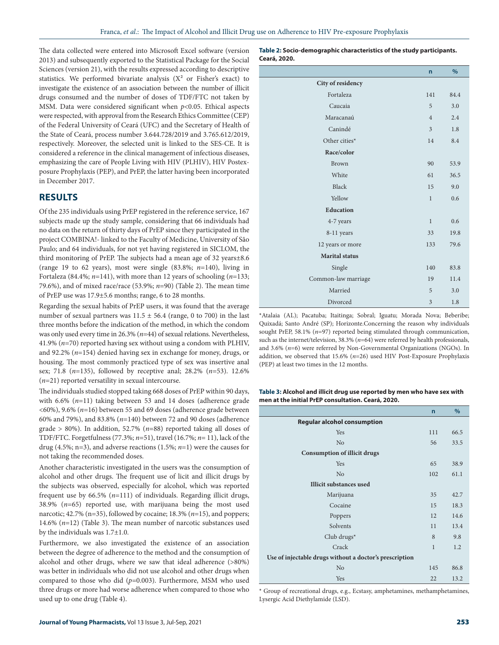The data collected were entered into Microsoft Excel software (version 2013) and subsequently exported to the Statistical Package for the Social Sciences (version 21), with the results expressed according to descriptive statistics. We performed bivariate analysis  $(X^2 \text{ or Fisher's exact})$  to investigate the existence of an association between the number of illicit drugs consumed and the number of doses of TDF/FTC not taken by MSM. Data were considered significant when *p*<0.05. Ethical aspects were respected, with approval from the Research Ethics Committee (CEP) of the Federal University of Ceará (UFC) and the Secretary of Health of the State of Ceará, process number 3.644.728/2019 and 3.765.612/2019, respectively. Moreover, the selected unit is linked to the SES-CE. It is considered a reference in the clinical management of infectious diseases, emphasizing the care of People Living with HIV (PLHIV), HIV Postexposure Prophylaxis (PEP), and PrEP, the latter having been incorporated in December 2017.

# **RESULTS**

Of the 235 individuals using PrEP registered in the reference service, 167 subjects made up the study sample, considering that 66 individuals had no data on the return of thirty days of PrEP since they participated in the project COMBINA!- linked to the Faculty of Medicine, University of São Paulo; and 64 individuals, for not yet having registered in SICLOM, the third monitoring of PrEP. The subjects had a mean age of 32 years±8.6 (range 19 to 62 years), most were single (83.8%; *n*=140), living in Fortaleza (84.4%; *n*=141), with more than 12 years of schooling (*n*=133; 79.6%), and of mixed race/race (53.9%; *n*=90) (Table 2). The mean time of PrEP use was 17.9±5.6 months; range, 6 to 28 months.

Regarding the sexual habits of PrEP users, it was found that the average number of sexual partners was  $11.5 \pm 56.4$  (range, 0 to 700) in the last three months before the indication of the method, in which the condom was only used every time in 26.3% (*n*=44) of sexual relations. Nevertheless, 41.9% (*n*=70) reported having sex without using a condom with PLHIV, and 92.2% (*n*=154) denied having sex in exchange for money, drugs, or housing. The most commonly practiced type of sex was insertive anal sex; 71.8 (*n*=135), followed by receptive anal; 28.2% (*n*=53). 12.6% (*n*=21) reported versatility in sexual intercourse.

The individuals studied stopped taking 668 doses of PrEP within 90 days, with 6.6% (*n*=11) taking between 53 and 14 doses (adherence grade <60%), 9.6% (*n*=16) between 55 and 69 doses (adherence grade between 60% and 79%), and 83.8% (*n*=140) between 72 and 90 doses (adherence grade > 80%). In addition, 52.7% (*n*=88) reported taking all doses of TDF/FTC. Forgetfulness (77.3%; *n*=51), travel (16.7%; *n*= 11), lack of the drug (4.5%; n=3), and adverse reactions (1.5%; *n*=1) were the causes for not taking the recommended doses.

Another characteristic investigated in the users was the consumption of alcohol and other drugs. The frequent use of licit and illicit drugs by the subjects was observed, especially for alcohol, which was reported frequent use by 66.5% (*n*=111) of individuals. Regarding illicit drugs, 38.9% (*n*=65) reported use, with marijuana being the most used narcotic; 42.7% (n=35), followed by cocaine; 18.3% (*n*=15), and poppers; 14.6% (*n*=12) (Table 3). The mean number of narcotic substances used by the individuals was 1.7±1.0.

Furthermore, we also investigated the existence of an association between the degree of adherence to the method and the consumption of alcohol and other drugs, where we saw that ideal adherence (>80%) was better in individuals who did not use alcohol and other drugs when compared to those who did (*p*=0.003). Furthermore, MSM who used three drugs or more had worse adherence when compared to those who used up to one drug (Table 4).

**Table 2: Socio-demographic characteristics of the study participants. Ceará, 2020.**

|                       | $\mathsf{n}$   | $\%$ |
|-----------------------|----------------|------|
| City of residency     |                |      |
| Fortaleza             | 141            | 84.4 |
| Caucaia               | 5              | 3.0  |
| Maracanaú             | $\overline{4}$ | 2.4  |
| Canindé               | $\overline{3}$ | 1.8  |
| Other cities*         | 14             | 8.4  |
| Race/color            |                |      |
| <b>Brown</b>          | 90             | 53.9 |
| White                 | 61             | 36.5 |
| <b>Black</b>          | 15             | 9.0  |
| Yellow                | $\mathbf{1}$   | 0.6  |
| <b>Education</b>      |                |      |
| 4-7 years             | $\mathbf{1}$   | 0.6  |
| 8-11 years            | 33             | 19.8 |
| 12 years or more      | 133            | 79.6 |
| <b>Marital</b> status |                |      |
| Single                | 140            | 83.8 |
| Common-law marriage   | 19             | 11.4 |
| Married               | 5              | 3.0  |
| Divorced              | 3              | 1.8  |

\*Atalaia (AL); Pacatuba; Itaitinga; Sobral; Iguatu; Morada Nova; Beberibe; Quixadá; Santo André (SP); Horizonte.Concerning the reason why individuals sought PrEP, 58.1% (*n*=97) reported being stimulated through communication, such as the internet/television, 38.3% (*n*=64) were referred by health professionals, and 3.6% (*n*=6) were referred by Non-Governmental Organizations (NGOs). In addition, we observed that 15.6% (*n*=26) used HIV Post-Exposure Prophylaxis (PEP) at least two times in the 12 months.

**Table 3: Alcohol and illicit drug use reported by men who have sex with men at the initial PrEP consultation. Ceará, 2020.**

|                                                         | $\overline{n}$ | %    |
|---------------------------------------------------------|----------------|------|
| <b>Regular alcohol consumption</b>                      |                |      |
| Yes                                                     | 111            | 66.5 |
| N <sub>o</sub>                                          | 56             | 33.5 |
| <b>Consumption of illicit drugs</b>                     |                |      |
| Yes                                                     | 65             | 38.9 |
| N <sub>o</sub>                                          | 102            | 61.1 |
| <b>Illicit substances used</b>                          |                |      |
| Marijuana                                               | 35             | 42.7 |
| Cocaine                                                 | 15             | 18.3 |
| Poppers                                                 | 12             | 14.6 |
| Solvents                                                | 11             | 13.4 |
| Club drugs $*$                                          | 8              | 9.8  |
| Crack                                                   | $\mathbf{1}$   | 1.2  |
| Use of injectable drugs without a doctor's prescription |                |      |
| N <sub>o</sub>                                          | 145            | 86.8 |
| Yes                                                     | 22             | 13.2 |

\* Group of recreational drugs, e.g., Ecstasy, amphetamines, methamphetamines, Lysergic Acid Diethylamide (LSD).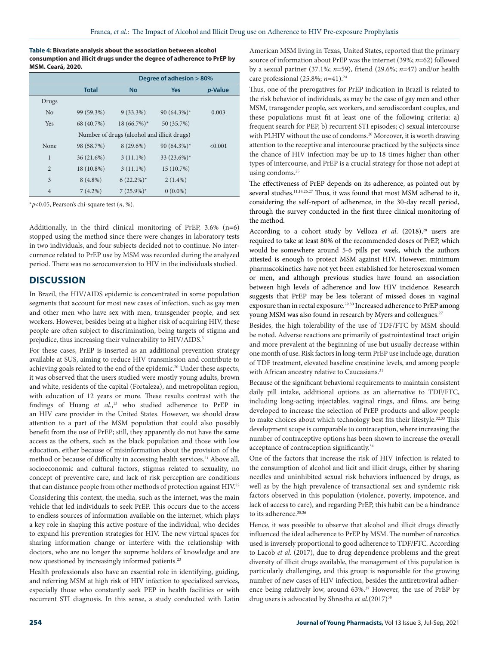**Table 4: Bivariate analysis about the association between alcohol consumption and illicit drugs under the degree of adherence to PrEP by MSM. Ceará, 2020.**

|                                             | Degree of adhesion > 80% |               |                 |                 |
|---------------------------------------------|--------------------------|---------------|-----------------|-----------------|
|                                             | <b>Total</b>             | <b>No</b>     | <b>Yes</b>      | <i>p</i> -Value |
| Drugs                                       |                          |               |                 |                 |
| No                                          | 99 (59.3%)               | $9(33.3\%)$   | 90 $(64.3\%)^*$ | 0.003           |
| Yes                                         | 68 (40.7%)               | $18(66.7\%)*$ | 50 (35.7%)      |                 |
| Number of drugs (alcohol and illicit drugs) |                          |               |                 |                 |
| None                                        | 98 (58.7%)               | $8(29.6\%)$   | 90 (64.3%)*     | < 0.001         |
| $\mathbf{1}$                                | 36 (21.6%)               | $3(11.1\%)$   | 33 (23.6%)*     |                 |
| $\overline{2}$                              | 18 (10.8%)               | $3(11.1\%)$   | 15 (10.7%)      |                 |
| 3                                           | $8(4.8\%)$               | $6(22.2\%)^*$ | $2(1.4\%)$      |                 |
| $\overline{4}$                              | $7(4.2\%)$               | $7(25.9\%)*$  | $0(0.0\%)$      |                 |

\**p*<0.05, Pearson's chi-square test (*n*, %).

Additionally, in the third clinical monitoring of PrEP, 3.6% (n=6) stopped using the method since there were changes in laboratory tests in two individuals, and four subjects decided not to continue. No intercurrence related to PrEP use by MSM was recorded during the analyzed period. There was no seroconversion to HIV in the individuals studied.

# **DISCUSSION**

In Brazil, the HIV/AIDS epidemic is concentrated in some population segments that account for most new cases of infection, such as gay men and other men who have sex with men, transgender people, and sex workers. However, besides being at a higher risk of acquiring HIV, these people are often subject to discrimination, being targets of stigma and prejudice, thus increasing their vulnerability to HIV/AIDS.<sup>5</sup>

For these cases, PrEP is inserted as an additional prevention strategy available at SUS, aiming to reduce HIV transmission and contribute to achieving goals related to the end of the epidemic.<sup>20</sup> Under these aspects, it was observed that the users studied were mostly young adults, brown and white, residents of the capital (Fortaleza), and metropolitan region, with education of 12 years or more. These results contrast with the findings of Huang *et al.*, 13 who studied adherence to PrEP in an HIV care provider in the United States. However, we should draw attention to a part of the MSM population that could also possibly benefit from the use of PrEP; still, they apparently do not have the same access as the others, such as the black population and those with low education, either because of misinformation about the provision of the method or because of difficulty in accessing health services.<sup>21</sup> Above all, socioeconomic and cultural factors, stigmas related to sexuality, no concept of preventive care, and lack of risk perception are conditions that can distance people from other methods of protection against HIV.<sup>22</sup> Considering this context, the media, such as the internet, was the main vehicle that led individuals to seek PrEP. This occurs due to the access to endless sources of information available on the internet, which plays a key role in shaping this active posture of the individual, who decides to expand his prevention strategies for HIV. The new virtual spaces for sharing information change or interfere with the relationship with doctors, who are no longer the supreme holders of knowledge and are now questioned by increasingly informed patients.<sup>23</sup>

Health professionals also have an essential role in identifying, guiding, and referring MSM at high risk of HIV infection to specialized services, especially those who constantly seek PEP in health facilities or with recurrent STI diagnosis. In this sense, a study conducted with Latin American MSM living in Texas, United States, reported that the primary source of information about PrEP was the internet (39%; *n*=62) followed by a sexual partner (37.1%; *n*=59), friend (29.6%; *n*=47) and/or health care professional (25.8%; *n*=41).24

Thus, one of the prerogatives for PrEP indication in Brazil is related to the risk behavior of individuals, as may be the case of gay men and other MSM, transgender people, sex workers, and serodiscordant couples, and these populations must fit at least one of the following criteria: a) frequent search for PEP, b) recurrent STI episodes; c) sexual intercourse with PLHIV without the use of condoms.<sup>20</sup> Moreover, it is worth drawing attention to the receptive anal intercourse practiced by the subjects since the chance of HIV infection may be up to 18 times higher than other types of intercourse, and PrEP is a crucial strategy for those not adept at using condoms.<sup>25</sup>

The effectiveness of PrEP depends on its adherence, as pointed out by several studies.<sup>11,14,26,27</sup> Thus, it was found that most MSM adhered to it, considering the self-report of adherence, in the 30-day recall period, through the survey conducted in the first three clinical monitoring of the method.

According to a cohort study by Velloza et al. (2018),<sup>28</sup> users are required to take at least 80% of the recommended doses of PrEP, which would be somewhere around 5-6 pills per week, which the authors attested is enough to protect MSM against HIV. However, minimum pharmacokinetics have not yet been established for heterosexual women or men, and although previous studies have found an association between high levels of adherence and low HIV incidence. Research suggests that PrEP may be less tolerant of missed doses in vaginal exposure than in rectal exposure.<sup>29,30</sup> Increased adherence to PrEP among young MSM was also found in research by Myers and colleagues.<sup>27</sup>

Besides, the high tolerability of the use of TDF/FTC by MSM should be noted. Adverse reactions are primarily of gastrointestinal tract origin and more prevalent at the beginning of use but usually decrease within one month of use. Risk factors in long-term PrEP use include age, duration of TDF treatment, elevated baseline creatinine levels, and among people with African ancestry relative to Caucasians.<sup>31</sup>

Because of the significant behavioral requirements to maintain consistent daily pill intake, additional options as an alternative to TDF/FTC, including long-acting injectables, vaginal rings, and films, are being developed to increase the selection of PrEP products and allow people to make choices about which technology best fits their lifestyle.<sup>32,33</sup> This development scope is comparable to contraception, where increasing the number of contraceptive options has been shown to increase the overall acceptance of contraception significantly.<sup>34</sup>

One of the factors that increase the risk of HIV infection is related to the consumption of alcohol and licit and illicit drugs, either by sharing needles and uninhibited sexual risk behaviors influenced by drugs, as well as by the high prevalence of transactional sex and syndemic risk factors observed in this population (violence, poverty, impotence, and lack of access to care), and regarding PrEP, this habit can be a hindrance to its adherence.<sup>35,36</sup>

Hence, it was possible to observe that alcohol and illicit drugs directly influenced the ideal adherence to PrEP by MSM. The number of narcotics used is inversely proportional to good adherence to TDF/FTC. According to Lacob *et al*. (2017), due to drug dependence problems and the great diversity of illicit drugs available, the management of this population is particularly challenging, and this group is responsible for the growing number of new cases of HIV infection, besides the antiretroviral adherence being relatively low, around 63%.<sup>37</sup> However, the use of PrEP by drug users is advocated by Shrestha et al.(2017)<sup>38</sup>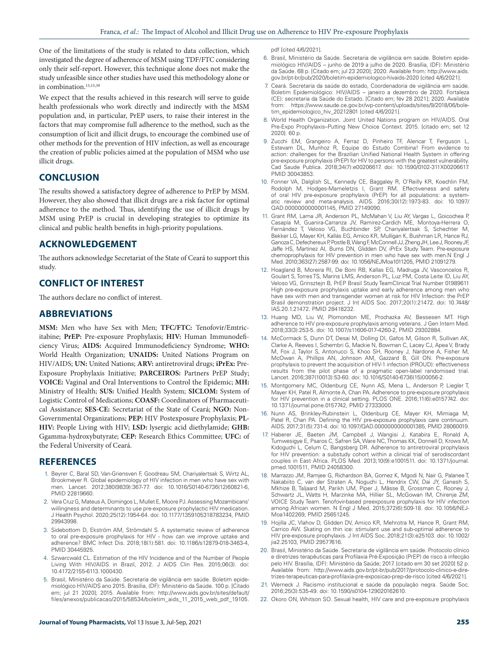One of the limitations of the study is related to data collection, which investigated the degree of adherence of MSM using TDF/FTC considering only their self-report. However, this technique alone does not make the study unfeasible since other studies have used this methodology alone or in combination.<sup>13,15,39</sup>

We expect that the results achieved in this research will serve to guide health professionals who work directly and indirectly with the MSM population and, in particular, PrEP users, to raise their interest in the factors that may compromise full adherence to the method, such as the consumption of licit and illicit drugs, to encourage the combined use of other methods for the prevention of HIV infection, as well as encourage the creation of public policies aimed at the population of MSM who use illicit drugs.

# **CONCLUSION**

The results showed a satisfactory degree of adherence to PrEP by MSM. However, they also showed that illicit drugs are a risk factor for optimal adherence to the method. Thus, identifying the use of illicit drugs by MSM using PrEP is crucial in developing strategies to optimize its clinical and public health benefits in high-priority populations.

# **ACKNOWLEDGEMENT**

The authors acknowledge Secretariat of the State of Ceará to support this study.

# **CONFLICT OF INTEREST**

The authors declare no conflict of interest.

# **ABBREVIATIONS**

**MSM:** Men who have Sex with Men; **TFC/FTC:** Tenofovir/Emtricitabine; **PrEP:** Pre-exposure Prophylaxis; **HIV:** Human Immunodeficiency Virus; **AIDS:** Acquired Immunodeficiency Syndrome; **WHO:**  World Health Organization; **UNAIDS:** United Nations Program on HIV/AIDS; **UN:** United Nations; **ARV:** antiretroviral drugs; **iPrEx:** Pre-Exposure Prophylaxis Initiative; **PARCEIROS:** Partners PrEP Study; **VOICE:** Vaginal and Oral Interventions to Control the Epidemic; **MH:** Ministry of Health; **SUS:** Unified Health System; **SICLOM:** System of Logistic Control of Medications; **COASF:** Coordinators of Pharmaceutical Assistance; **SES-CE:** Secretariat of the State of Ceará; **NGO:** Non-Governmental Organizations; **PEP:** HIV Postexposure Prophylaxis; **PL-HIV:** People Living with HIV; **LSD:** lysergic acid diethylamide; **GHB:**  Ggamma-hydroxybutyrate; **CEP:** Research Ethics Committee; **UFC:** of the Federal University of Ceará.

### **REFERENCES**

- 1. Beyrer C, Baral SD, Van-Griensven F, Goodreau SM, Chariyalertsak S, Wirtz AL, Brookmeyer R. Global epidemiology of HIV infection in men who have sex with men. Lancet. 2012;380(9839):367-77. doi: 10.1016/S0140-6736(12)60821-6, PMID 22819660.
- 2. Vera Cruz G, Mateus A, Domingos L, Mullet E, Moore PJ. Assessing Mozambicans' willingness and determinants to use pre-exposure prophylactic HIV medication. J Health Psychol. 2020;25(12):1954-64. doi: 10.1177/1359105318783234, PMID 29943998.
- 3. Sidebottom D, Ekström AM, Strömdahl S. A systematic review of adherence to oral pre-exposure prophylaxis for HIV - how can we improve uptake and adherence? BMC Infect Dis. 2018;18(1):581. doi: 10.1186/s12879-018-3463-4, PMID 30445925.
- 4. Szwarcwald CL. Estimation of the HIV Incidence and of the Number of People Living With HIV/AIDS in Brazil, 2012. J AIDS Clin Res. 2015;06(3). doi: 10.4172/2155-6113.1000430.
- 5. Brasil, Ministério da Saúde. Secretaria de vigilância em saúde. Boletim epidemiológico HIV/AIDS ano 2015. Brasília, (DF): Ministério da Saúde. 100 p. [Citado em; jul 21 2020]; 2015. Available from: http://www.aids.gov.br/sites/default/ files/anexos/publicacao/2015/58534/boletim\_aids\_11\_2015\_web\_pdf\_19105.

pdf [cited 4/6/2021].

- 6. Brasil, Ministério da Saúde. Secretaria de vigilância em saúde. Boletim epidemiológico HIV/AIDS – junho de 2019 a julho de 2020. Brasília, (DF): Ministério da Saúde. 68 p. [Citado em; jul 23 2020]; 2020. Available from: http://www.aids. gov.br/pt-br/pub/2020/boletim-epidemiologico-hivaids-2020 [cited 4/6/2021].
- 7. Ceará. Secretaria da saúde do estado, Coordenadoria de vigilância em saúde. Boletim Epidemiológico: HIV/AIDS – janeiro a dezembro de 2020. Fortaleza (CE): secretaria da Saúde do Estado. [Citado em; fév 28 2021]; 2020. Available from: https://www.saude.ce.gov.br/wp-content/uploads/sites/9/2018/06/boletim\_epidemiologico\_hiv\_20212801 [cited 4/6/2021].
- 8. World Health Organization. Joint United Nations program on HIV/AIDS. Oral Pre-Expo Prophylaxis–Putting New Choice Context. 2015. [citado em; set 12 2020]. 60 p.
- 9. Zucchi EM, Grangeiro A, Ferraz D, Pinheiro TF, Alencar T, Ferguson L, Estevam DL, Munhoz R, Equipe do Estudo Combina! From evidence to action: challenges for the Brazilian Unified National Health System in offering pre-exposure prophylaxis (PrEP) for HIV to persons with the greatest vulnerability. Cad Saude Publica. 2018;34(7):e00206617. doi: 10.1590/0102-311X00206617. PMID 30043853.
- 10. Fonner VA, Dalglish SL, Kennedy CE, Baggaley R, O'Reilly KR, Koechlin FM, Rodolph M, Hodges-Mameletzis I, Grant RM. Effectiveness and safety of oral HIV pre-exposure prophylaxis (PrEP) for all populations: a systematic review and meta-analysis. AIDS. 2016;30(12):1973-83. doi: 10.1097/ QAD.0000000000001145, PMID 27149090.
- 11. Grant RM, Lama JR, Anderson PL, McMahan V, Liu AY, Vargas L, Goicochea P, Casapía M, Guanira-Carranza JV, Ramirez-Cardich ME, Montoya-Herrera O, Fernández T, Veloso VG, Buchbinder SP, Chariyalertsak S, Schechter M, Bekker LG, Mayer KH, Kallás EG, Amico KR, Mulligan K, Bushman LR, Hance RJ, Ganoza C, Defechereux P, Postle B, Wang F, McConnell JJ, Zheng JH, Lee J, Rooney JF, Jaffe HS, Martinez AI, Burns DN, Glidden DV, iPrEx Study Team. Pre-exposure chemoprophylaxis for HIV prevention in men who have sex with men.N Engl J Med. 2010;363(27):2587-99. doi: 10.1056/NEJMoa1011205, PMID 21091279.
- 12. Hoagland B, Moreira RI, De Boni RB, Kallas EG, Madruga JV, Vasconcelos R, Goulart S, Torres TS, Marins LMS, Anderson PL, Luz PM, Costa Leite ID, Liu AY, Veloso VG, Grinsztejn B, PrEP Brasil Study TeamClinical Trial Number 01989611 High pre-exposure prophylaxis uptake and early adherence among men who have sex with men and transgender women at risk for HIV Infection: the PrEP Brasil demonstration project. J Int AIDS Soc. 2017;20(1):21472. doi: 10.7448/ IAS.20.1.21472. PMID 28418232.
- 13. Huang MD, Liu W, Plomondon ME, Prochazka AV, Bessesen MT. High adherence to HIV pre-exposure prophylaxis among veterans. J Gen Intern Med. 2018;33(3):253-5. doi: 10.1007/s11606-017-4260-2, PMID 29302884.
- 14. McCormack S, Dunn DT, Desai M, Dolling DI, Gafos M, Gilson R, Sullivan AK, Clarke A, Reeves I, Schembri G, Mackie N, Bowman C, Lacey CJ, Apea V, Brady M, Fox J, Taylor S, Antonucci S, Khoo SH, Rooney J, Nardone A, Fisher M, McOwan A, Phillips AN, Johnson AM, Gazzard B, Gill ON. Pre-exposure prophylaxis to prevent the acquisition of HIV-1 infection (PROUD): effectiveness results from the pilot phase of a pragmatic open-label randomised trial. Lancet. 2016;387(10013):53-60. doi: 10.1016/S0140-6736(15)00056-2.
- 15. Montgomery MC, Oldenburg CE, Nunn AS, Mena L, Anderson P, Liegler T, Mayer KH, Patel R, Almonte A, Chan PA. Adherence to pre-exposure prophylaxis for HIV prevention in a clinical setting. PLOS ONE. 2016;11(6):e0157742. doi: 10.1371/journal.pone.0157742, PMID 27333000.
- 16. Nunn AS, Brinkley-Rubinstein L, Oldenburg CE, Mayer KH, Mimiaga M, Patel R, Chan PA. Defining the HIV pre-exposure prophylaxis care continuum. AIDS. 2017;31(5):731-4. doi: 10.1097/QAD.0000000000001385, PMID 28060019.
- 17. Haberer JE, Baeten JM, Campbell J, Wangisi J, Katabira E, Ronald A, Tumwesigye E, Psaros C, Safren SA, Ware NC, Thomas KK, Donnell D, Krows M, Kidoguchi L, Celum C, Bangsberg DR. Adherence to antiretroviral prophylaxis for HIV prevention: a substudy cohort within a clinical trial of serodiscordant couples in East Africa. PLOS Med. 2013;10(9):e1001511. doi: 10.1371/journal. pmed.1001511, PMID 24058300.
- 18. Marrazzo JM, Ramjee G, Richardson BA, Gomez K, Mgodi N, Nair G, Palanee T, Nakabiito C, van der Straten A, Noguchi L, Hendrix CW, Dai JY, Ganesh S, Mkhize B, Taljaard M, Parikh UM, Piper J, Mâsse B, Grossman C, Rooney J, Schwartz JL, Watts H, Marzinke MA, Hillier SL, McGowan IM, Chirenje ZM, VOICE Study Team. Tenofovir-based preexposure prophylaxis for HIV infection among African women. N Engl J Med. 2015;372(6):509-18. doi: 10.1056/NEJ-Moa1402269, PMID 25651245.
- 19. Hojilla JC, Vlahov D, Glidden DV, Amico KR, Mehrotra M, Hance R, Grant RM, Carrico AW. Skating on thin ice: stimulant use and sub-optimal adherence to HIV pre-exposure prophylaxis. J Int AIDS Soc. 2018;21(3):e25103. doi: 10.1002/ jia2.25103, PMID 29577616.
- 20. Brasil, Ministério da Saúde. Secretaria de vigilância em saúde. Protocolo clínico e diretrizes terapêuticas para Profilaxia Pré-Exposição (PrEP) de risco à infecção pelo HIV. Brasília, (DF): Ministério da Saúde; 2017. [citado em 30 set 2020] 52 p. Available from: http://www.aids.gov.br/pt-br/pub/2017/protocolo-clinico-e-diretrizes-terapeuticas-para-profilaxia-pre-exposicao-prep-de-risco [cited 4/6/2021].
- 21. Werneck J. Racismo institucional e saúde da população negra. Saúde Soc. 2016;25(3):535-49. doi: 10.1590/s0104-129020162610.
- 22. Okoro ON, Whitson SO. Sexual health, HIV care and pre-exposure prophylaxis